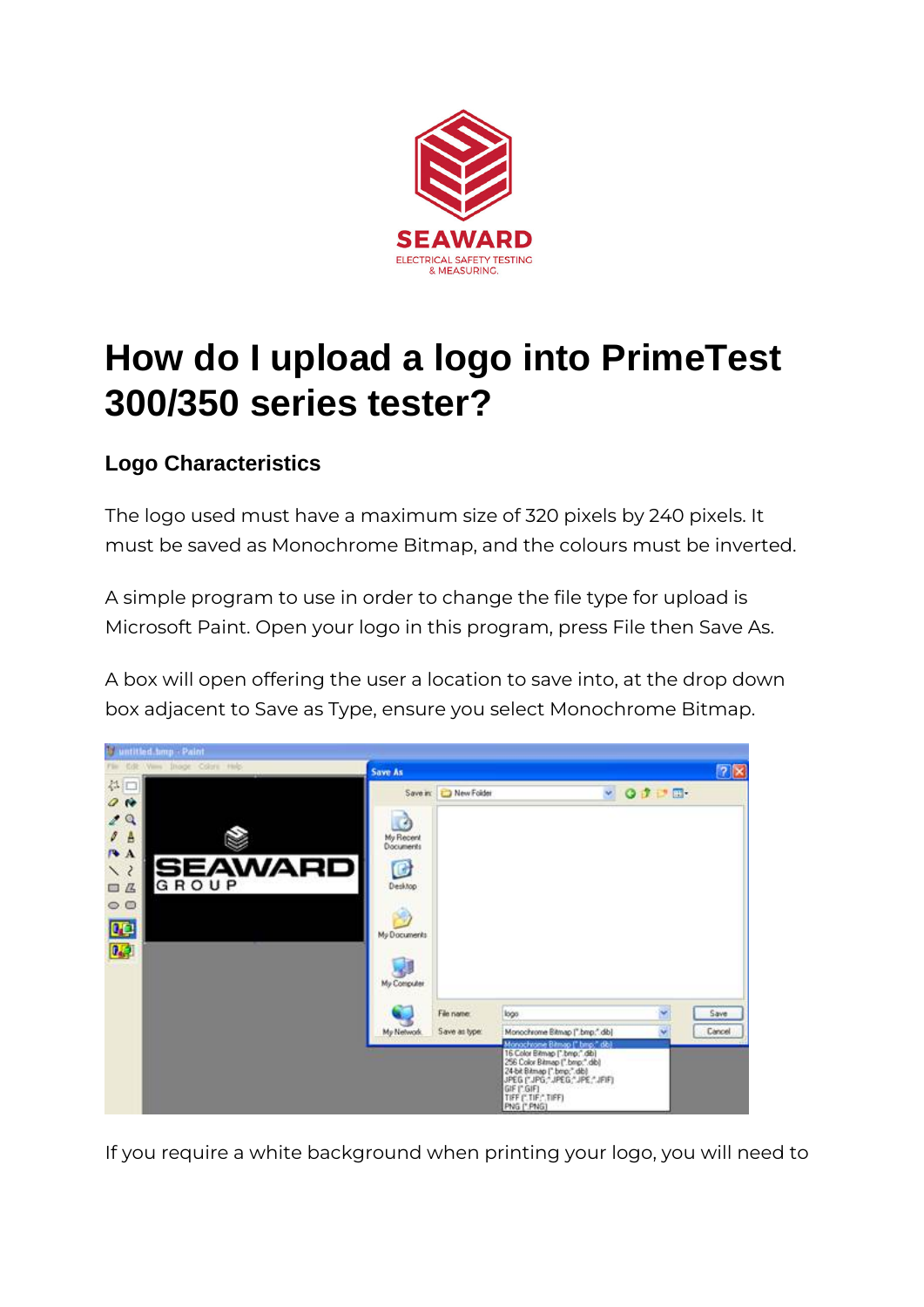

# **How do I upload a logo into PrimeTest 300/350 series tester?**

### **Logo Characteristics**

The logo used must have a maximum size of 320 pixels by 240 pixels. It must be saved as Monochrome Bitmap, and the colours must be inverted.

A simple program to use in order to change the file type for upload is Microsoft Paint. Open your logo in this program, press File then Save As.

A box will open offering the user a location to save into, at the drop down box adjacent to Save as Type, ensure you select Monochrome Bitmap.



If you require a white background when printing your logo, you will need to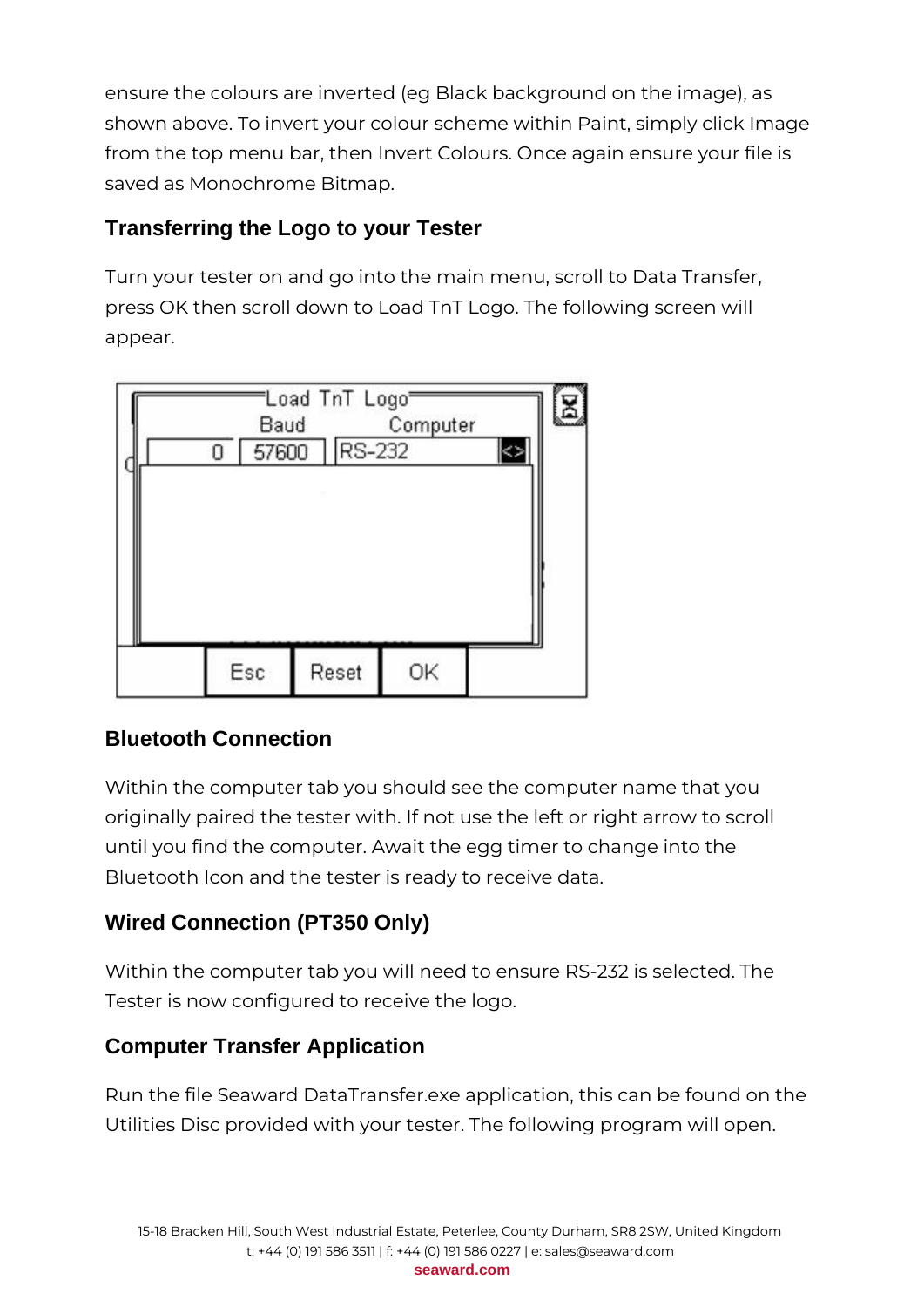ensure the colours are inverted (eg Black background on the image), as shown above. To invert your colour scheme within Paint, simply click Image from the top menu bar, then Invert Colours. Once again ensure your file is saved as Monochrome Bitmap.

#### **Transferring the Logo to your Tester**

Turn your tester on and go into the main menu, scroll to Data Transfer, press OK then scroll down to Load TnT Logo. The following screen will appear.



#### **Bluetooth Connection**

Within the computer tab you should see the computer name that you originally paired the tester with. If not use the left or right arrow to scroll until you find the computer. Await the egg timer to change into the Bluetooth Icon and the tester is ready to receive data.

## **Wired Connection (PT350 Only)**

Within the computer tab you will need to ensure RS-232 is selected. The Tester is now configured to receive the logo.

#### **Computer Transfer Application**

Run the file Seaward DataTransfer.exe application, this can be found on the Utilities Disc provided with your tester. The following program will open.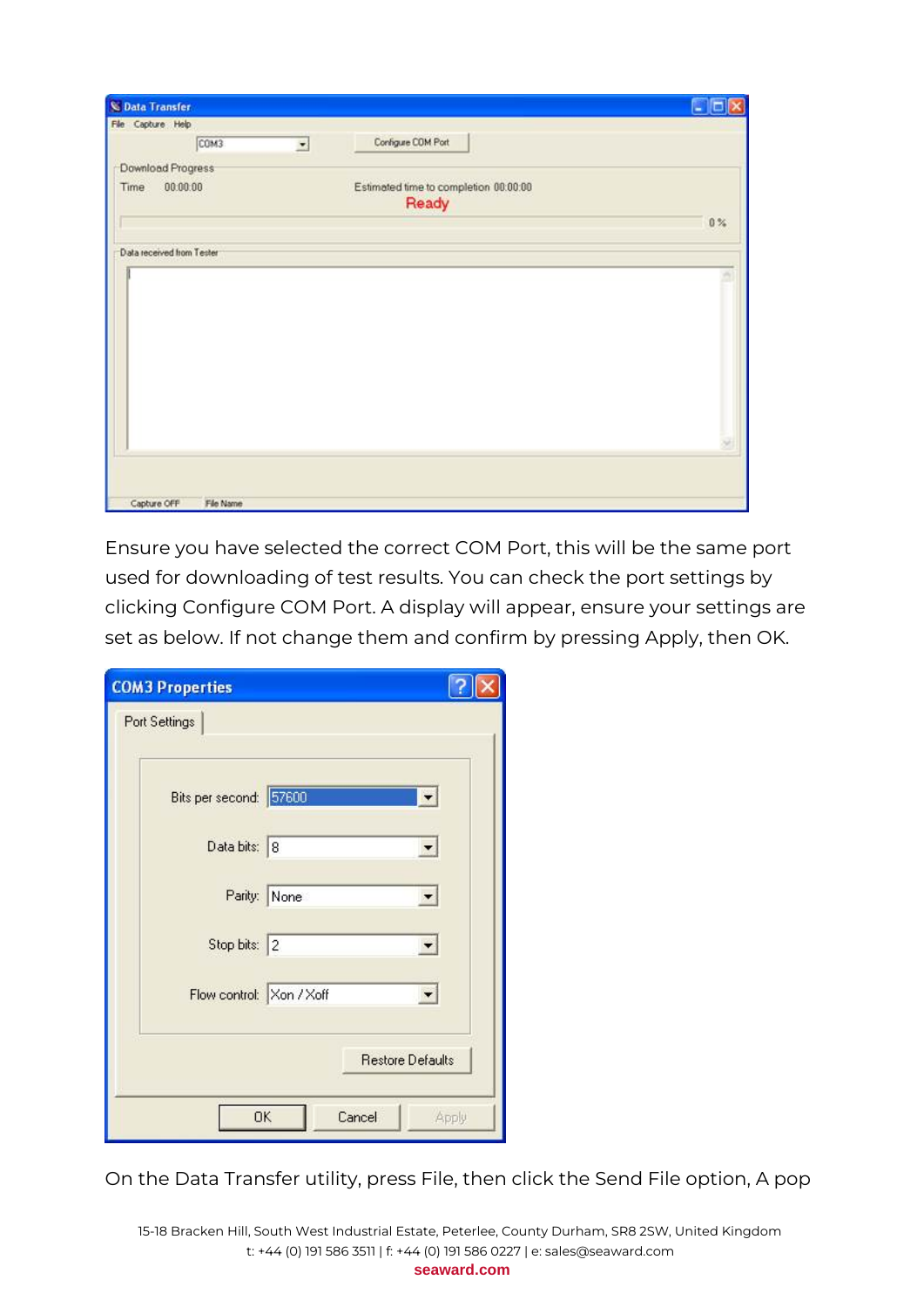| C Data Transfer           |           |   |                                                | ۳              |
|---------------------------|-----------|---|------------------------------------------------|----------------|
| File Capture Help         |           |   |                                                |                |
|                           | COM3      | × | Configure COM Port                             |                |
| Download Progress         |           |   |                                                |                |
| Time                      | 00.00.00  |   | Estimated time to completion 00:00:00<br>Ready |                |
|                           |           |   |                                                | 0 <sup>2</sup> |
| Data received from Tester |           |   |                                                |                |
|                           |           |   |                                                |                |
|                           |           |   |                                                |                |
|                           |           |   |                                                |                |
|                           |           |   |                                                |                |
|                           |           |   |                                                |                |
|                           |           |   |                                                |                |
|                           |           |   |                                                |                |
|                           |           |   |                                                |                |
|                           |           |   |                                                |                |
| Capture OFF               | File Name |   |                                                |                |

Ensure you have selected the correct COM Port, this will be the same port used for downloading of test results. You can check the port settings by clicking Configure COM Port. A display will appear, ensure your settings are set as below. If not change them and confirm by pressing Apply, then OK.

| <b>COM3 Properties</b>   |              |                         |       |
|--------------------------|--------------|-------------------------|-------|
| Port Settings            |              |                         |       |
| Bits per second: 57600   |              |                         |       |
| Data bits: 8             |              |                         |       |
|                          | Parity: None |                         |       |
| Stop bits: 2             |              |                         |       |
| Flow control: Xon / Xoff |              |                         |       |
|                          |              | <b>Restore Defaults</b> |       |
| <b>OK</b>                |              | Cancel                  | Apply |

On the Data Transfer utility, press File, then click the Send File option, A pop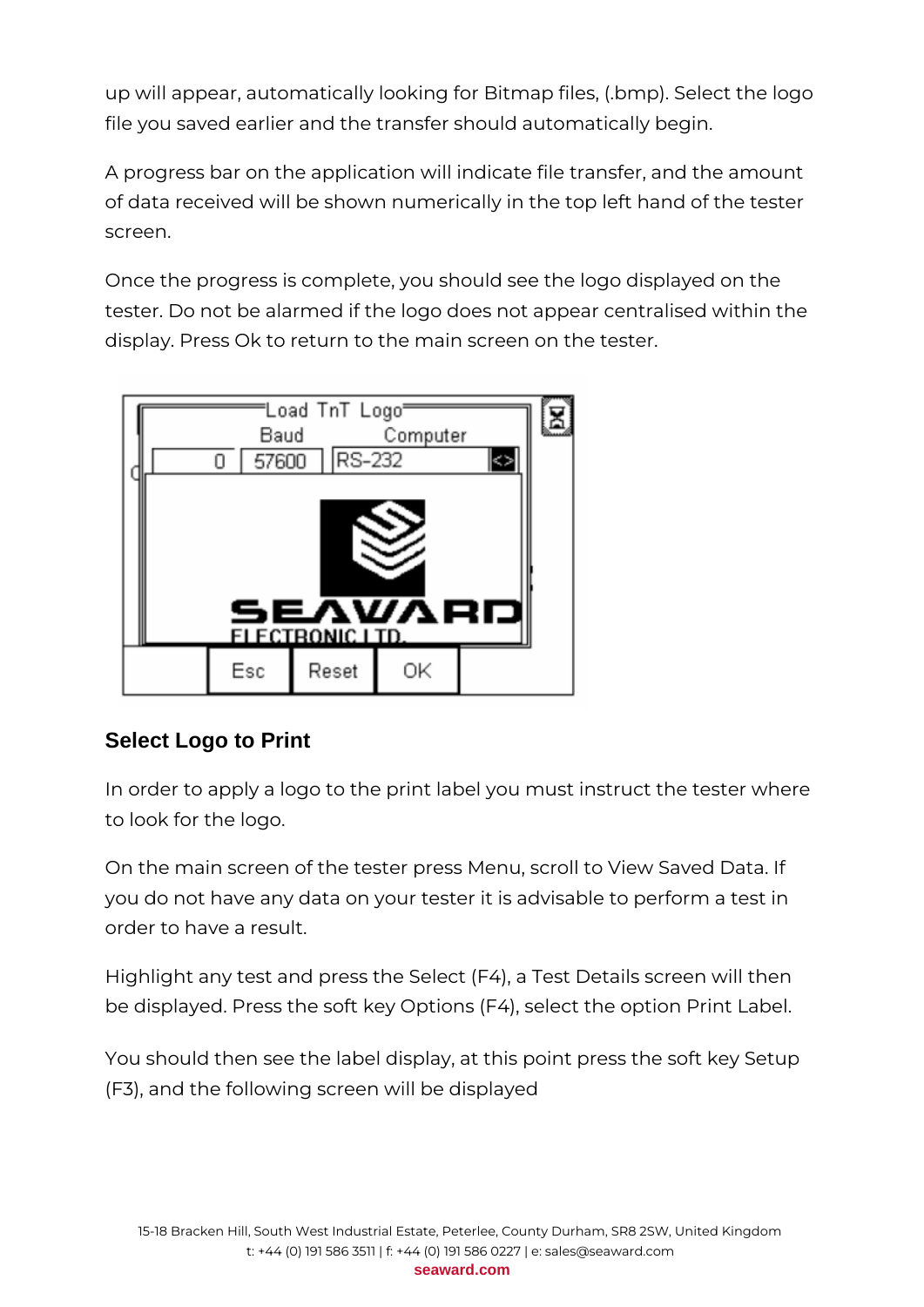up will appear, automatically looking for Bitmap files, (.bmp). Select the logo file you saved earlier and the transfer should automatically begin.

A progress bar on the application will indicate file transfer, and the amount of data received will be shown numerically in the top left hand of the tester screen.

Once the progress is complete, you should see the logo displayed on the tester. Do not be alarmed if the logo does not appear centralised within the display. Press Ok to return to the main screen on the tester.



#### **Select Logo to Print**

In order to apply a logo to the print label you must instruct the tester where to look for the logo.

On the main screen of the tester press Menu, scroll to View Saved Data. If you do not have any data on your tester it is advisable to perform a test in order to have a result.

Highlight any test and press the Select (F4), a Test Details screen will then be displayed. Press the soft key Options (F4), select the option Print Label.

You should then see the label display, at this point press the soft key Setup (F3), and the following screen will be displayed